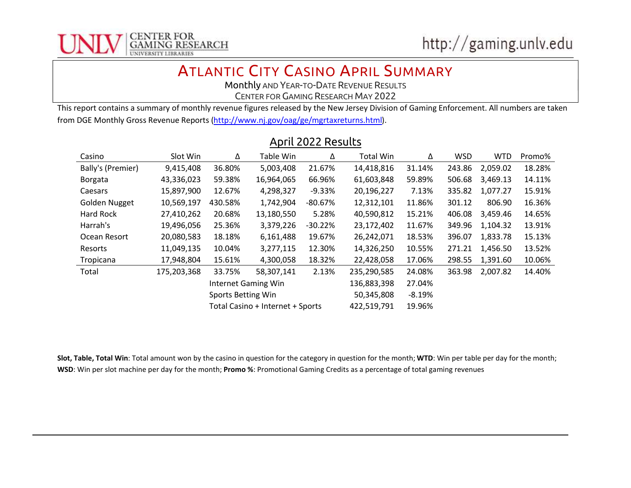

## ATLANTIC CITY CASINO APRIL SUMMARY

Monthly AND YEAR-TO-DATE REVENUE RESULTS

CENTER FOR GAMING RESEARCH MAY 2022

This report contains a summary of monthly revenue figures released by the New Jersey Division of Gaming Enforcement. All numbers are taken from DGE Monthly Gross Revenue Reports (http://www.nj.gov/oag/ge/mgrtaxreturns.html).

| Casino            | Slot Win                         | Δ       | Table Win  | Δ         | Total Win   | Δ        | <b>WSD</b> | <b>WTD</b> | Promo% |
|-------------------|----------------------------------|---------|------------|-----------|-------------|----------|------------|------------|--------|
| Bally's (Premier) | 9,415,408                        | 36.80%  | 5,003,408  | 21.67%    | 14,418,816  | 31.14%   | 243.86     | 2,059.02   | 18.28% |
| Borgata           | 43,336,023                       | 59.38%  | 16,964,065 | 66.96%    | 61,603,848  | 59.89%   | 506.68     | 3,469.13   | 14.11% |
| Caesars           | 15,897,900                       | 12.67%  | 4,298,327  | $-9.33%$  | 20,196,227  | 7.13%    | 335.82     | 1,077.27   | 15.91% |
| Golden Nugget     | 10,569,197                       | 430.58% | 1,742,904  | $-80.67%$ | 12,312,101  | 11.86%   | 301.12     | 806.90     | 16.36% |
| Hard Rock         | 27,410,262                       | 20.68%  | 13,180,550 | 5.28%     | 40,590,812  | 15.21%   | 406.08     | 3,459.46   | 14.65% |
| Harrah's          | 19,496,056                       | 25.36%  | 3,379,226  | $-30.22%$ | 23,172,402  | 11.67%   | 349.96     | 1,104.32   | 13.91% |
| Ocean Resort      | 20,080,583                       | 18.18%  | 6,161,488  | 19.67%    | 26,242,071  | 18.53%   | 396.07     | 1,833.78   | 15.13% |
| Resorts           | 11,049,135                       | 10.04%  | 3,277,115  | 12.30%    | 14,326,250  | 10.55%   | 271.21     | 1,456.50   | 13.52% |
| Tropicana         | 17,948,804                       | 15.61%  | 4,300,058  | 18.32%    | 22,428,058  | 17.06%   | 298.55     | 1,391.60   | 10.06% |
| Total             | 175,203,368                      | 33.75%  | 58,307,141 | 2.13%     | 235,290,585 | 24.08%   | 363.98     | 2,007.82   | 14.40% |
|                   | Internet Gaming Win              |         |            |           | 136,883,398 | 27.04%   |            |            |        |
|                   | Sports Betting Win               |         |            |           | 50,345,808  | $-8.19%$ |            |            |        |
|                   | Total Casino + Internet + Sports |         |            |           | 422,519,791 | 19.96%   |            |            |        |

### April 2022 Results

Slot, Table, Total Win: Total amount won by the casino in question for the category in question for the month; WTD: Win per table per day for the month; WSD: Win per slot machine per day for the month; Promo %: Promotional Gaming Credits as a percentage of total gaming revenues